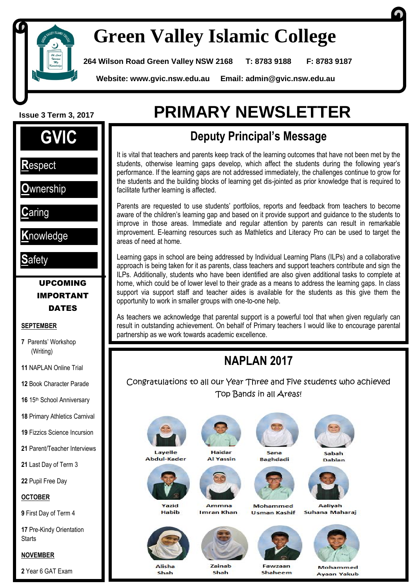

I

**1**

# **Green Valley Islamic College**

**264 Wilson Road Green Valley NSW 2168 T: 8783 9188 F: 8783 9187**

 **Website: www.gvic.nsw.edu.au Email: [admin@gvic.nsw.edu.au](mailto:admin@gvic.com.au)**



**R**espect

**O**wnership

**C**aring

**K**nowledge

**S**afety

#### UPCOMING IMPORTANT **DATES**

#### **SEPTEMBER**

**7** Parents' Workshop (Writing)

**11** NAPLAN Online Trial

**12** Book Character Parade

**16** 15th School Anniversary

**18** Primary Athletics Carnival

**19** Fizzics Science Incursion

**21** Parent/Teacher Interviews

**21** Last Day of Term 3

**22** Pupil Free Day

**OCTOBER**

**9** First Day of Term 4

**17** Pre-Kindy Orientation **Starts** 

#### **NOVEMBER**

**2** Year 6 GAT Exam

# **Issue 3 Term 3, <sup>2017</sup> PRIMARY NEWSLETTER**

### **Deputy Principal's Message**

It is vital that teachers and parents keep track of the learning outcomes that have not been met by the students, otherwise learning gaps develop, which affect the students during the following year's performance. If the learning gaps are not addressed immediately, the challenges continue to grow for the students and the building blocks of learning get dis-jointed as prior knowledge that is required to facilitate further learning is affected.

Parents are requested to use students' portfolios, reports and feedback from teachers to become aware of the children's learning gap and based on it provide support and guidance to the students to improve in those areas. Immediate and regular attention by parents can result in remarkable improvement. E-learning resources such as Mathletics and Literacy Pro can be used to target the areas of need at home.

Learning gaps in school are being addressed by Individual Learning Plans (ILPs) and a collaborative approach is being taken for it as parents, class teachers and support teachers contribute and sign the ILPs. Additionally, students who have been identified are also given additional tasks to complete at home, which could be of lower level to their grade as a means to address the learning gaps. In class support via support staff and teacher aides is available for the students as this give them the opportunity to work in smaller groups with one-to-one help.

As teachers we acknowledge that parental support is a powerful tool that when given regularly can result in outstanding achievement. On behalf of Primary teachers I would like to encourage parental partnership as we work towards academic excellence.

## **NAPLAN 2017**

Congratulations to all our Year Three and Five students who achieved Top Bands in all Areas!



Abdul-Kader



**Habib** 





Mohammed **Usman Kashif** 



Sahah Dablan



Aalivah

Suhana Maharai



Shah



Ammna

**Imran Khan** 

**Zainah** Shah

Eauguar Shaheem

Mohammed **Ayaan Yakub** 

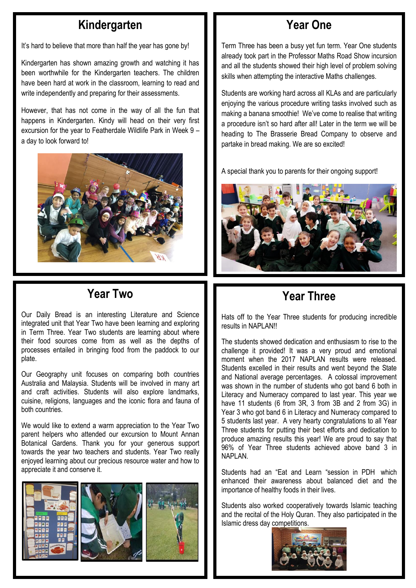#### **Kindergarten**

It's hard to believe that more than half the year has gone by!

Kindergarten has shown amazing growth and watching it has been worthwhile for the Kindergarten teachers. The children have been hard at work in the classroom, learning to read and write independently and preparing for their assessments.

However, that has not come in the way of all the fun that happens in Kindergarten. Kindy will head on their very first excursion for the year to Featherdale Wildlife Park in Week 9 – a day to look forward to!



### **Year Two**

Our Daily Bread is an interesting Literature and Science integrated unit that Year Two have been learning and exploring in Term Three. Year Two students are learning about where their food sources come from as well as the depths of processes entailed in bringing food from the paddock to our plate.

Our Geography unit focuses on comparing both countries Australia and Malaysia. Students will be involved in many art and craft activities. Students will also explore landmarks, cuisine, religions, languages and the iconic flora and fauna of both countries.

We would like to extend a warm appreciation to the Year Two parent helpers who attended our excursion to Mount Annan Botanical Gardens. Thank you for your generous support towards the year two teachers and students. Year Two really enjoyed learning about our precious resource water and how to appreciate it and conserve it.



### **Year One**

Term Three has been a busy yet fun term. Year One students already took part in the Professor Maths Road Show incursion and all the students showed their high level of problem solving skills when attempting the interactive Maths challenges.

Students are working hard across all KLAs and are particularly enjoying the various procedure writing tasks involved such as making a banana smoothie! We've come to realise that writing a procedure isn't so hard after all! Later in the term we will be heading to The Brasserie Bread Company to observe and partake in bread making. We are so excited!

A special thank you to parents for their ongoing support!



### **Year Three**

Hats off to the Year Three students for producing incredible results in NAPLAN!!

The students showed dedication and enthusiasm to rise to the challenge it provided! It was a very proud and emotional moment when the 2017 NAPLAN results were released. Students excelled in their results and went beyond the State and National average percentages. A colossal improvement was shown in the number of students who got band 6 both in Literacy and Numeracy compared to last year. This year we have 11 students (6 from 3R, 3 from 3B and 2 from 3G) in Year 3 who got band 6 in Literacy and Numeracy compared to 5 students last year. A very hearty congratulations to all Year Three students for putting their best efforts and dedication to produce amazing results this year! We are proud to say that 96% of Year Three students achieved above band 3 in NAPLAN.

Students had an "Eat and Learn "session in PDH which enhanced their awareness about balanced diet and the importance of healthy foods in their lives.

Students also worked cooperatively towards Islamic teaching and the recital of the Holy Quran. They also participated in the Islamic dress day competitions.

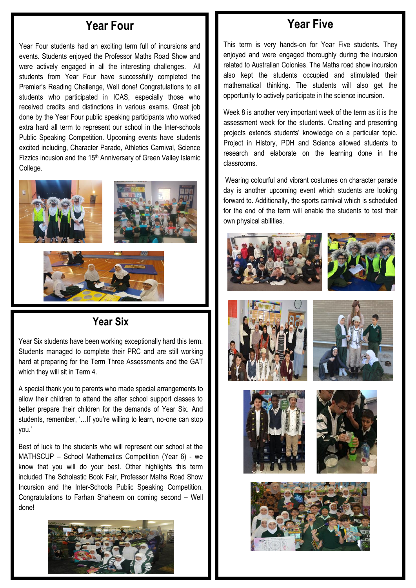#### **Year Four**

Year Four students had an exciting term full of incursions and events. Students enjoyed the Professor Maths Road Show and were actively engaged in all the interesting challenges. All students from Year Four have successfully completed the Premier's Reading Challenge, Well done! Congratulations to all students who participated in ICAS, especially those who received credits and distinctions in various exams. Great job done by the Year Four public speaking participants who worked extra hard all term to represent our school in the Inter-schools Public Speaking Competition. Upcoming events have students excited including, Character Parade, Athletics Carnival, Science Fizzics incusion and the 15<sup>th</sup> Anniversary of Green Valley Islamic College.



#### **Year Six**

Year Six students have been working exceptionally hard this term. Students managed to complete their PRC and are still working hard at preparing for the Term Three Assessments and the GAT which they will sit in Term 4.

A special thank you to parents who made special arrangements to allow their children to attend the after school support classes to better prepare their children for the demands of Year Six. And students, remember, '…If you're willing to learn, no-one can stop you.'

Best of luck to the students who will represent our school at the MATHSCUP – School Mathematics Competition (Year 6) - we know that you will do your best. Other highlights this term included The Scholastic Book Fair, Professor Maths Road Show Incursion and the Inter-Schools Public Speaking Competition. Congratulations to Farhan Shaheem on coming second – Well done!



#### **Year Five**

This term is very hands-on for Year Five students. They enjoyed and were engaged thoroughly during the incursion related to Australian Colonies. The Maths road show incursion also kept the students occupied and stimulated their mathematical thinking. The students will also get the opportunity to actively participate in the science incursion.

Week 8 is another very important week of the term as it is the assessment week for the students. Creating and presenting projects extends students' knowledge on a particular topic. Project in History, PDH and Science allowed students to research and elaborate on the learning done in the classrooms.

Wearing colourful and vibrant costumes on character parade day is another upcoming event which students are looking forward to. Additionally, the sports carnival which is scheduled for the end of the term will enable the students to test their own physical abilities.